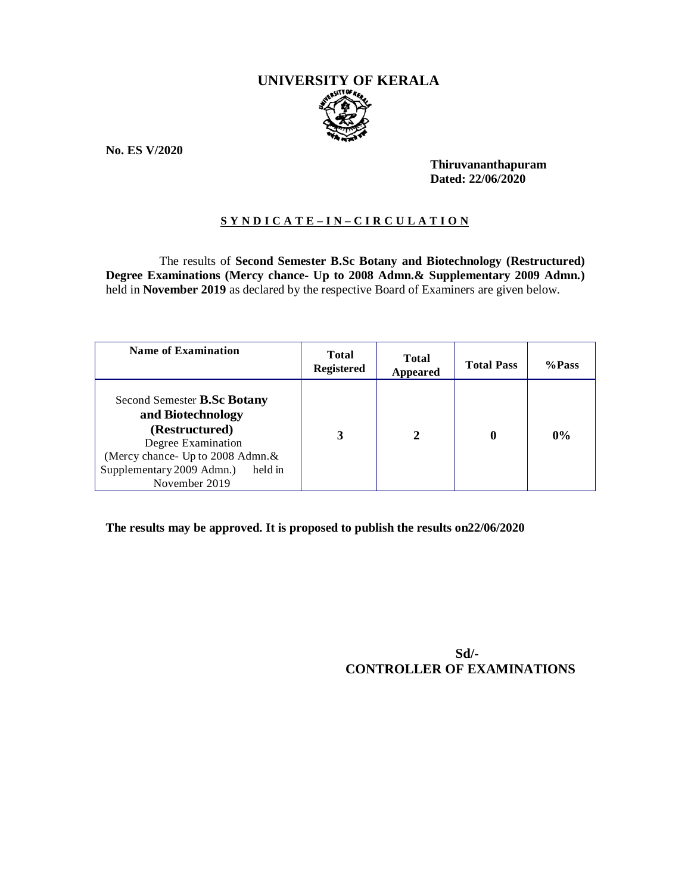# **UNIVERSITY OF KERALA**

**No. ES V/2020**

**Thiruvananthapuram Dated: 22/06/2020**

# **S Y N D I C A T E – I N – C I R C U L A T I O N**

The results of **Second Semester B.Sc Botany and Biotechnology (Restructured) Degree Examinations (Mercy chance- Up to 2008 Admn.& Supplementary 2009 Admn.)**  held in **November 2019** as declared by the respective Board of Examiners are given below.

| <b>Name of Examination</b>                                                                                                                                                             | <b>Total</b><br><b>Registered</b> | <b>Total</b><br>Appeared | <b>Total Pass</b> | %Pass |
|----------------------------------------------------------------------------------------------------------------------------------------------------------------------------------------|-----------------------------------|--------------------------|-------------------|-------|
| Second Semester B.Sc Botany<br>and Biotechnology<br>(Restructured)<br>Degree Examination<br>(Mercy chance- Up to 2008 Admn. &<br>Supplementary 2009 Admn.)<br>held in<br>November 2019 | 3                                 | 2                        |                   | $0\%$ |

**The results may be approved. It is proposed to publish the results on22/06/2020**

**Sd/- CONTROLLER OF EXAMINATIONS**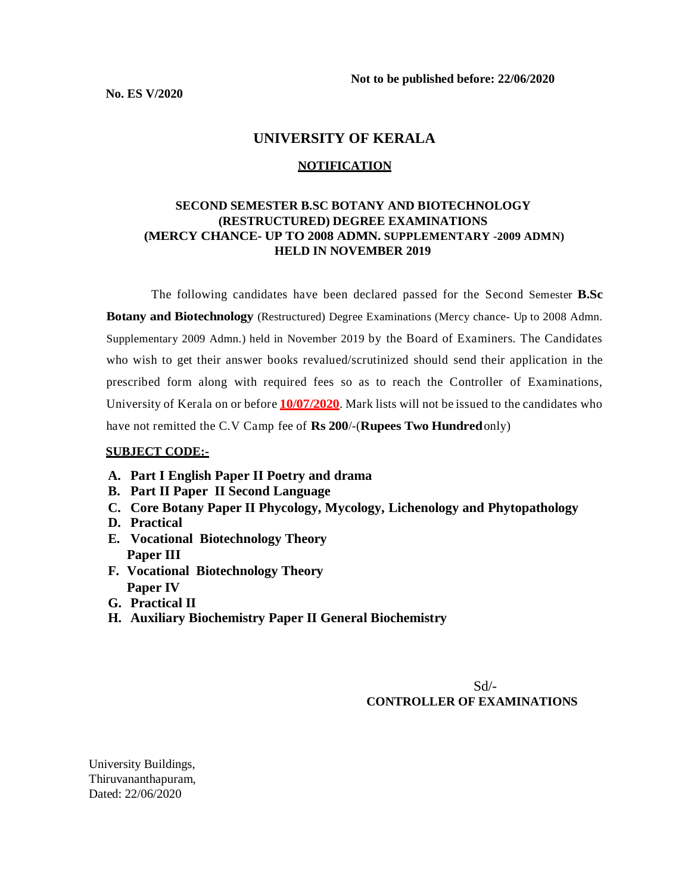## **UNIVERSITY OF KERALA**

#### **NOTIFICATION**

## **SECOND SEMESTER B.SC BOTANY AND BIOTECHNOLOGY (RESTRUCTURED) DEGREE EXAMINATIONS (MERCY CHANCE- UP TO 2008 ADMN. SUPPLEMENTARY -2009 ADMN) HELD IN NOVEMBER 2019**

The following candidates have been declared passed for the Second Semester **B.Sc Botany and Biotechnology** (Restructured) Degree Examinations (Mercy chance- Up to 2008 Admn. Supplementary 2009 Admn.) held in November 2019 by the Board of Examiners. The Candidates who wish to get their answer books revalued/scrutinized should send their application in the prescribed form along with required fees so as to reach the Controller of Examinations, University of Kerala on or before **10/07/2020**. Mark lists will not be issued to the candidates who have not remitted the C.V Camp fee of **Rs 200**/-(**Rupees Two Hundred**only)

#### **SUBJECT CODE:-**

- **A. Part I English Paper II Poetry and drama**
- **B. Part II Paper II Second Language**
- **C. Core Botany Paper II Phycology, Mycology, Lichenology and Phytopathology**
- **D. Practical**
- **E. Vocational Biotechnology Theory Paper III**
- **F. Vocational Biotechnology Theory Paper IV**
- **G. Practical II**
- **H. Auxiliary Biochemistry Paper II General Biochemistry**

 $Sd$ <sup>-</sup> **CONTROLLER OF EXAMINATIONS**

University Buildings, Thiruvananthapuram, Dated: 22/06/2020